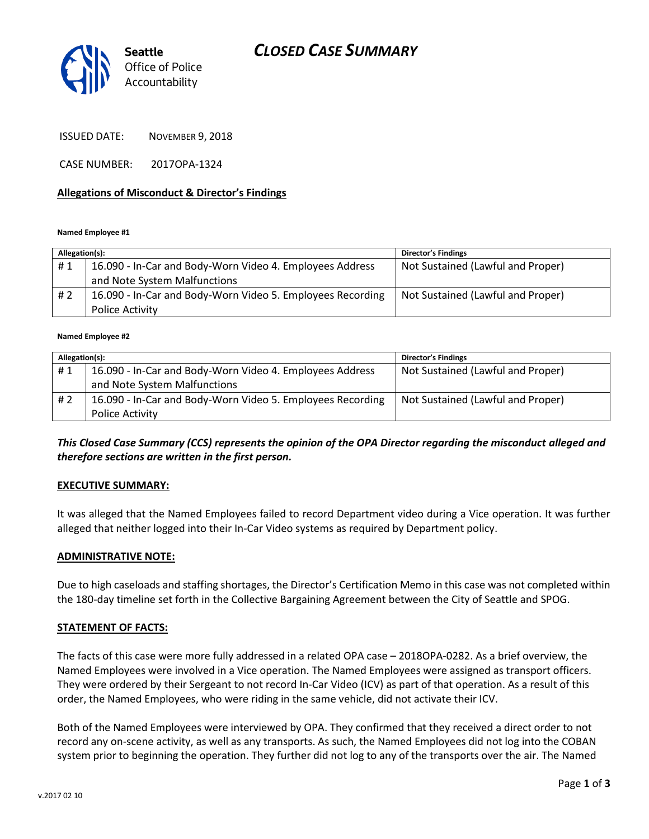# *CLOSED CASE SUMMARY*



ISSUED DATE: NOVEMBER 9, 2018

CASE NUMBER: 2017OPA-1324

### **Allegations of Misconduct & Director's Findings**

**Named Employee #1**

| Allegation(s): |                                                            | <b>Director's Findings</b>        |
|----------------|------------------------------------------------------------|-----------------------------------|
| #1             | 16.090 - In-Car and Body-Worn Video 4. Employees Address   | Not Sustained (Lawful and Proper) |
|                | and Note System Malfunctions                               |                                   |
| # 2            | 16.090 - In-Car and Body-Worn Video 5. Employees Recording | Not Sustained (Lawful and Proper) |
|                | <b>Police Activity</b>                                     |                                   |

#### **Named Employee #2**

| Allegation(s): |                                                            | <b>Director's Findings</b>        |
|----------------|------------------------------------------------------------|-----------------------------------|
| #1             | 16.090 - In-Car and Body-Worn Video 4. Employees Address   | Not Sustained (Lawful and Proper) |
|                | and Note System Malfunctions                               |                                   |
| #2             | 16.090 - In-Car and Body-Worn Video 5. Employees Recording | Not Sustained (Lawful and Proper) |
|                | <b>Police Activity</b>                                     |                                   |

## *This Closed Case Summary (CCS) represents the opinion of the OPA Director regarding the misconduct alleged and therefore sections are written in the first person.*

### **EXECUTIVE SUMMARY:**

It was alleged that the Named Employees failed to record Department video during a Vice operation. It was further alleged that neither logged into their In-Car Video systems as required by Department policy.

### **ADMINISTRATIVE NOTE:**

Due to high caseloads and staffing shortages, the Director's Certification Memo in this case was not completed within the 180-day timeline set forth in the Collective Bargaining Agreement between the City of Seattle and SPOG.

### **STATEMENT OF FACTS:**

The facts of this case were more fully addressed in a related OPA case – 2018OPA-0282. As a brief overview, the Named Employees were involved in a Vice operation. The Named Employees were assigned as transport officers. They were ordered by their Sergeant to not record In-Car Video (ICV) as part of that operation. As a result of this order, the Named Employees, who were riding in the same vehicle, did not activate their ICV.

Both of the Named Employees were interviewed by OPA. They confirmed that they received a direct order to not record any on-scene activity, as well as any transports. As such, the Named Employees did not log into the COBAN system prior to beginning the operation. They further did not log to any of the transports over the air. The Named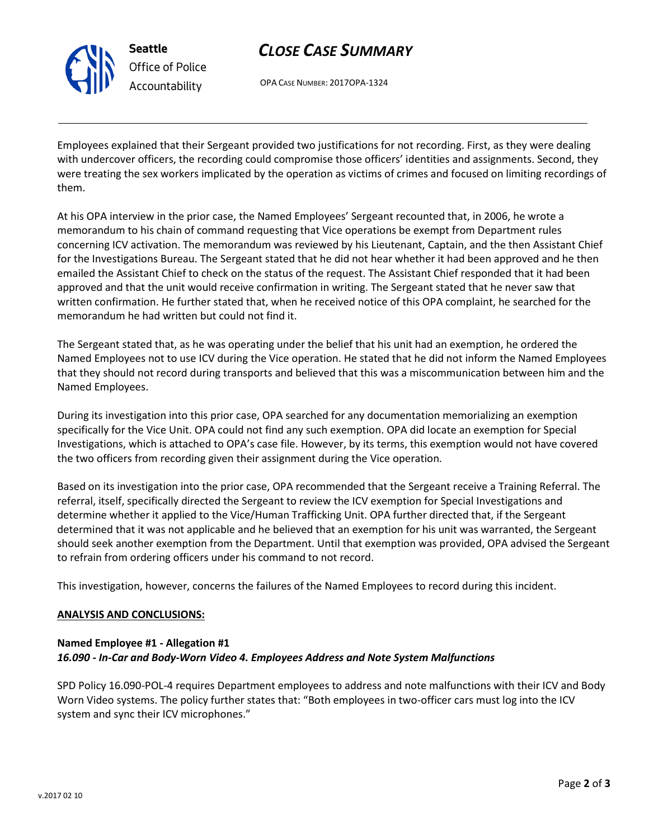

**Seattle** *Office of Police Accountability*

# *CLOSE CASE SUMMARY*

OPA CASE NUMBER: 2017OPA-1324

Employees explained that their Sergeant provided two justifications for not recording. First, as they were dealing with undercover officers, the recording could compromise those officers' identities and assignments. Second, they were treating the sex workers implicated by the operation as victims of crimes and focused on limiting recordings of them.

At his OPA interview in the prior case, the Named Employees' Sergeant recounted that, in 2006, he wrote a memorandum to his chain of command requesting that Vice operations be exempt from Department rules concerning ICV activation. The memorandum was reviewed by his Lieutenant, Captain, and the then Assistant Chief for the Investigations Bureau. The Sergeant stated that he did not hear whether it had been approved and he then emailed the Assistant Chief to check on the status of the request. The Assistant Chief responded that it had been approved and that the unit would receive confirmation in writing. The Sergeant stated that he never saw that written confirmation. He further stated that, when he received notice of this OPA complaint, he searched for the memorandum he had written but could not find it.

The Sergeant stated that, as he was operating under the belief that his unit had an exemption, he ordered the Named Employees not to use ICV during the Vice operation. He stated that he did not inform the Named Employees that they should not record during transports and believed that this was a miscommunication between him and the Named Employees.

During its investigation into this prior case, OPA searched for any documentation memorializing an exemption specifically for the Vice Unit. OPA could not find any such exemption. OPA did locate an exemption for Special Investigations, which is attached to OPA's case file. However, by its terms, this exemption would not have covered the two officers from recording given their assignment during the Vice operation.

Based on its investigation into the prior case, OPA recommended that the Sergeant receive a Training Referral. The referral, itself, specifically directed the Sergeant to review the ICV exemption for Special Investigations and determine whether it applied to the Vice/Human Trafficking Unit. OPA further directed that, if the Sergeant determined that it was not applicable and he believed that an exemption for his unit was warranted, the Sergeant should seek another exemption from the Department. Until that exemption was provided, OPA advised the Sergeant to refrain from ordering officers under his command to not record.

This investigation, however, concerns the failures of the Named Employees to record during this incident.

### **ANALYSIS AND CONCLUSIONS:**

## **Named Employee #1 - Allegation #1** *16.090 - In-Car and Body-Worn Video 4. Employees Address and Note System Malfunctions*

SPD Policy 16.090-POL-4 requires Department employees to address and note malfunctions with their ICV and Body Worn Video systems. The policy further states that: "Both employees in two-officer cars must log into the ICV system and sync their ICV microphones."